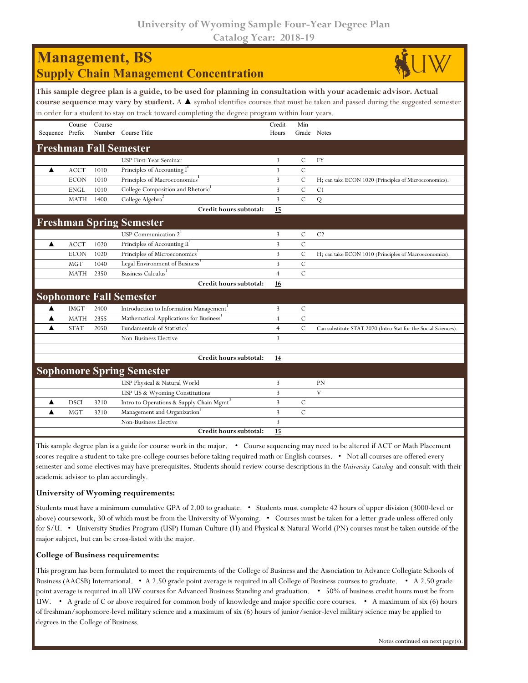**University of Wyoming Sample Four-Year Degree Plan Catalog Year: 2018-19**

|                 |             |        | <b>Management</b> , BS<br><b>Supply Chain Management Concentration</b>                                                                                                                                            |                 |                    |                                                                                                                                               |
|-----------------|-------------|--------|-------------------------------------------------------------------------------------------------------------------------------------------------------------------------------------------------------------------|-----------------|--------------------|-----------------------------------------------------------------------------------------------------------------------------------------------|
|                 |             |        | This sample degree plan is a guide, to be used for planning in consultation with your academic advisor. Actual<br>in order for a student to stay on track toward completing the degree program within four years. |                 |                    | course sequence may vary by student. A $\blacktriangle$ symbol identifies courses that must be taken and passed during the suggested semester |
| Sequence Prefix | Course      | Course | Number Course Title                                                                                                                                                                                               | Credit<br>Hours | Min<br>Grade Notes |                                                                                                                                               |
|                 |             |        | <b>Freshman Fall Semester</b>                                                                                                                                                                                     |                 |                    |                                                                                                                                               |
|                 |             |        | USP First-Year Seminar                                                                                                                                                                                            | 3               | $\mathcal{C}$      | FY                                                                                                                                            |
| ▲               | <b>ACCT</b> | 1010   | Principles of Accounting I                                                                                                                                                                                        | 3               | $\mathcal{C}$      |                                                                                                                                               |
|                 | <b>ECON</b> | 1010   | Principles of Macroeconomics <sup>1</sup>                                                                                                                                                                         | $\overline{3}$  | $\mathcal{C}$      | H; can take ECON 1020 (Principles of Microeconomics).                                                                                         |
|                 | <b>ENGL</b> | 1010   | College Composition and Rhetoric <sup>1</sup>                                                                                                                                                                     | 3               | $\mathcal{C}$      | C <sub>1</sub>                                                                                                                                |
|                 | <b>MATH</b> | 1400   | College Algebra <sup>2</sup>                                                                                                                                                                                      | $\overline{3}$  | $\mathcal{C}$      | Q                                                                                                                                             |
|                 |             |        | Credit hours subtotal:                                                                                                                                                                                            | 15              |                    |                                                                                                                                               |
|                 |             |        | <b>Freshman Spring Semester</b>                                                                                                                                                                                   |                 |                    |                                                                                                                                               |
|                 |             |        | USP Communication $21$                                                                                                                                                                                            | 3               | $\mathbf C$        | C <sub>2</sub>                                                                                                                                |
| ▲               | <b>ACCT</b> | 1020   | Principles of Accounting II <sup>1</sup>                                                                                                                                                                          | 3               | $\mathbf C$        |                                                                                                                                               |
|                 | <b>ECON</b> | 1020   | Principles of Microeconomics <sup>1</sup>                                                                                                                                                                         | 3               | $\mathcal{C}$      | H; can take ECON 1010 (Principles of Macroeconomics).                                                                                         |
|                 | <b>MGT</b>  | 1040   | Legal Environment of Business <sup>3</sup>                                                                                                                                                                        | 3               | $\mathcal{C}$      |                                                                                                                                               |
|                 | <b>MATH</b> | 2350   | Business Calculus                                                                                                                                                                                                 | $\overline{4}$  | $\mathcal{C}$      |                                                                                                                                               |
|                 |             |        | Credit hours subtotal:                                                                                                                                                                                            | 16              |                    |                                                                                                                                               |
|                 |             |        | <b>Sophomore Fall Semester</b>                                                                                                                                                                                    |                 |                    |                                                                                                                                               |
| ▲               | <b>IMGT</b> | 2400   | Introduction to Information Management <sup>1</sup>                                                                                                                                                               | 3               | $\mathcal{C}$      |                                                                                                                                               |
| ▲               | <b>MATH</b> | 2355   | Mathematical Applications for Business                                                                                                                                                                            | $\overline{4}$  | $\mathbf C$        |                                                                                                                                               |
| ▲               | <b>STAT</b> | 2050   | Fundamentals of Statistics <sup>1</sup>                                                                                                                                                                           | $\overline{4}$  | $\mathcal{C}$      | Can substitute STAT 2070 (Intro Stat for the Social Sciences).                                                                                |
|                 |             |        | <b>Non-Business Elective</b>                                                                                                                                                                                      | 3               |                    |                                                                                                                                               |
|                 |             |        |                                                                                                                                                                                                                   |                 |                    |                                                                                                                                               |
|                 |             |        | Credit hours subtotal:                                                                                                                                                                                            | 14              |                    |                                                                                                                                               |
|                 |             |        | <b>Sophomore Spring Semester</b>                                                                                                                                                                                  |                 |                    |                                                                                                                                               |
|                 |             |        | USP Physical & Natural World                                                                                                                                                                                      | 3               |                    | PN                                                                                                                                            |
|                 |             |        | USP US & Wyoming Constitutions                                                                                                                                                                                    | 3               |                    | $\mathbf V$                                                                                                                                   |
| ▲               | <b>DSCI</b> | 3210   | Intro to Operations & Supply Chain Mgmt                                                                                                                                                                           | 3               | $\mathcal{C}$      |                                                                                                                                               |
| ▲               | <b>MGT</b>  | 3210   | Management and Organization <sup>3</sup>                                                                                                                                                                          | 3               | $\mathcal{C}$      |                                                                                                                                               |
|                 |             |        | Non-Business Elective                                                                                                                                                                                             | $\overline{3}$  |                    |                                                                                                                                               |
|                 |             |        | Credit hours subtotal:                                                                                                                                                                                            | 15              |                    |                                                                                                                                               |

This sample degree plan is a guide for course work in the major. • Course sequencing may need to be altered if ACT or Math Placement scores require a student to take pre-college courses before taking required math or English courses. • Not all courses are offered every semester and some electives may have prerequisites. Students should review course descriptions in the *University Catalog* and consult with their academic advisor to plan accordingly.

## **University of Wyoming requirements:**

Students must have a minimum cumulative GPA of 2.00 to graduate. • Students must complete 42 hours of upper division (3000-level or above) coursework, 30 of which must be from the University of Wyoming. • Courses must be taken for a letter grade unless offered only for S/U. • University Studies Program (USP) Human Culture (H) and Physical & Natural World (PN) courses must be taken outside of the major subject, but can be cross-listed with the major.

## **College of Business requirements:**

This program has been formulated to meet the requirements of the College of Business and the Association to Advance Collegiate Schools of Business (AACSB) International. • A 2.50 grade point average is required in all College of Business courses to graduate. • A 2.50 grade point average is required in all UW courses for Advanced Business Standing and graduation. • 50% of business credit hours must be from UW. • A grade of C or above required for common body of knowledge and major specific core courses. • A maximum of six (6) hours of freshman/sophomore-level military science and a maximum of six (6) hours of junior/senior-level military science may be applied to degrees in the College of Business.